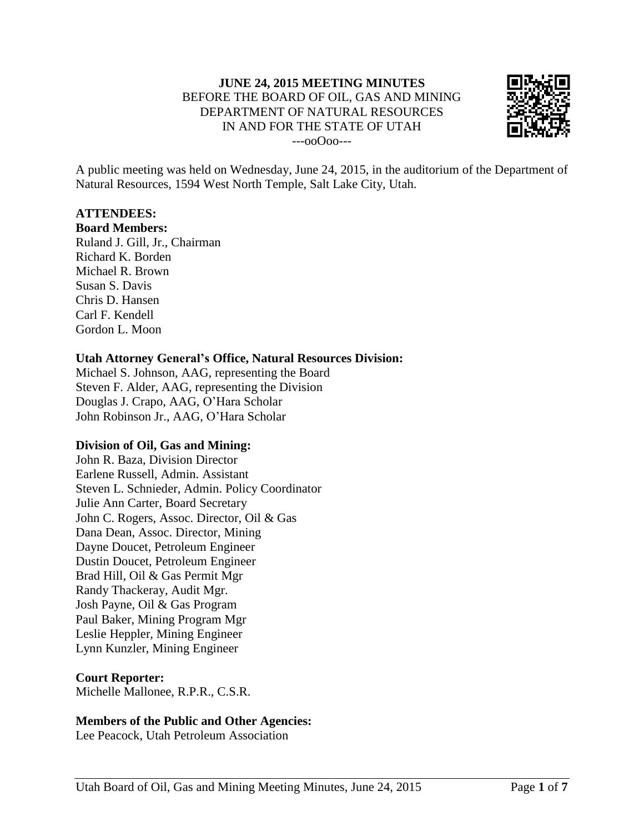

A public meeting was held on Wednesday, June 24, 2015, in the auditorium of the Department of Natural Resources, 1594 West North Temple, Salt Lake City, Utah.

### **ATTENDEES:**

#### **Board Members:**

Ruland J. Gill, Jr., Chairman Richard K. Borden Michael R. Brown Susan S. Davis Chris D. Hansen Carl F. Kendell Gordon L. Moon

### **Utah Attorney General's Office, Natural Resources Division:**

Michael S. Johnson, AAG, representing the Board Steven F. Alder, AAG, representing the Division Douglas J. Crapo, AAG, O'Hara Scholar John Robinson Jr., AAG, O'Hara Scholar

### **Division of Oil, Gas and Mining:**

John R. Baza, Division Director Earlene Russell, Admin. Assistant Steven L. Schnieder, Admin. Policy Coordinator Julie Ann Carter, Board Secretary John C. Rogers, Assoc. Director, Oil & Gas Dana Dean, Assoc. Director, Mining Dayne Doucet, Petroleum Engineer Dustin Doucet, Petroleum Engineer Brad Hill, Oil & Gas Permit Mgr Randy Thackeray, Audit Mgr. Josh Payne, Oil & Gas Program Paul Baker, Mining Program Mgr Leslie Heppler, Mining Engineer Lynn Kunzler, Mining Engineer

#### **Court Reporter:**

Michelle Mallonee, R.P.R., C.S.R.

### **Members of the Public and Other Agencies:**

Lee Peacock, Utah Petroleum Association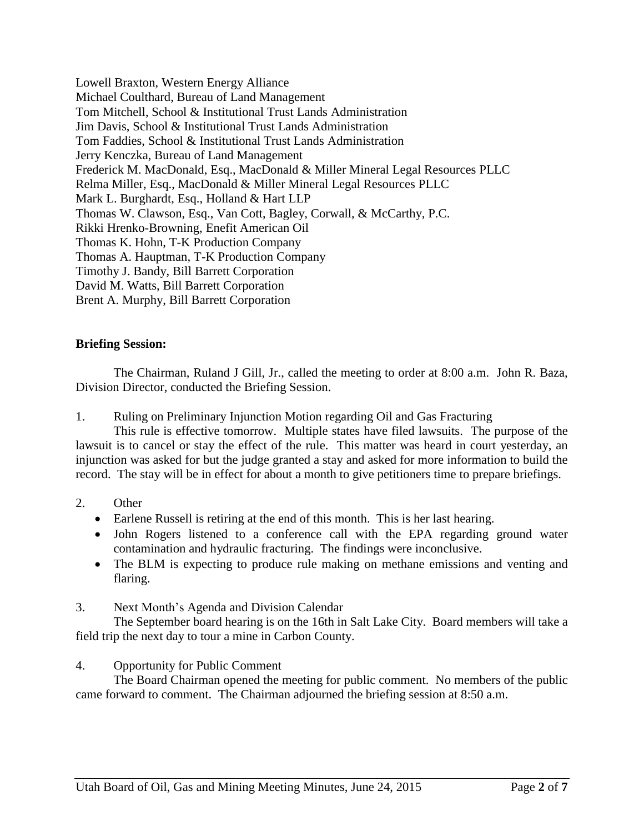Lowell Braxton, Western Energy Alliance Michael Coulthard, Bureau of Land Management Tom Mitchell, School & Institutional Trust Lands Administration Jim Davis, School & Institutional Trust Lands Administration Tom Faddies, School & Institutional Trust Lands Administration Jerry Kenczka, Bureau of Land Management Frederick M. MacDonald, Esq., MacDonald & Miller Mineral Legal Resources PLLC Relma Miller, Esq., MacDonald & Miller Mineral Legal Resources PLLC Mark L. Burghardt, Esq., Holland & Hart LLP Thomas W. Clawson, Esq., Van Cott, Bagley, Corwall, & McCarthy, P.C. Rikki Hrenko-Browning, Enefit American Oil Thomas K. Hohn, T-K Production Company Thomas A. Hauptman, T-K Production Company Timothy J. Bandy, Bill Barrett Corporation David M. Watts, Bill Barrett Corporation Brent A. Murphy, Bill Barrett Corporation

## **Briefing Session:**

The Chairman, Ruland J Gill, Jr., called the meeting to order at 8:00 a.m. John R. Baza, Division Director, conducted the Briefing Session.

1. Ruling on Preliminary Injunction Motion regarding Oil and Gas Fracturing

This rule is effective tomorrow. Multiple states have filed lawsuits. The purpose of the lawsuit is to cancel or stay the effect of the rule. This matter was heard in court yesterday, an injunction was asked for but the judge granted a stay and asked for more information to build the record. The stay will be in effect for about a month to give petitioners time to prepare briefings.

# 2. Other

- Earlene Russell is retiring at the end of this month. This is her last hearing.
- John Rogers listened to a conference call with the EPA regarding ground water contamination and hydraulic fracturing. The findings were inconclusive.
- The BLM is expecting to produce rule making on methane emissions and venting and flaring.
- 3. Next Month's Agenda and Division Calendar

The September board hearing is on the 16th in Salt Lake City. Board members will take a field trip the next day to tour a mine in Carbon County.

# 4. Opportunity for Public Comment

The Board Chairman opened the meeting for public comment. No members of the public came forward to comment. The Chairman adjourned the briefing session at 8:50 a.m.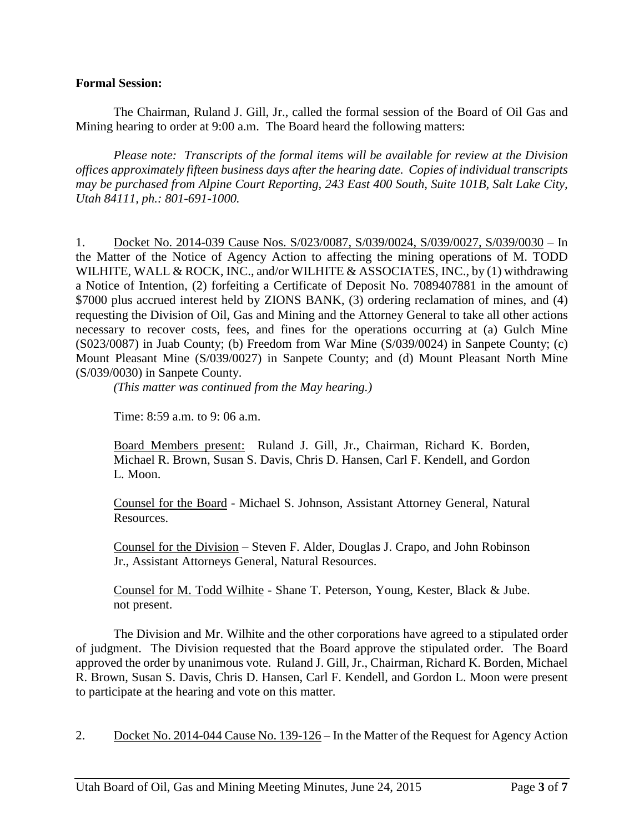## **Formal Session:**

The Chairman, Ruland J. Gill, Jr., called the formal session of the Board of Oil Gas and Mining hearing to order at 9:00 a.m. The Board heard the following matters:

*Please note: Transcripts of the formal items will be available for review at the Division offices approximately fifteen business days after the hearing date. Copies of individual transcripts may be purchased from Alpine Court Reporting, 243 East 400 South, Suite 101B, Salt Lake City, Utah 84111, ph.: 801-691-1000.*

1. Docket No. 2014-039 Cause Nos. [S/023/0087,](http://ogm.utah.gov/amr/boardtemp/redesign/2015/05_May/Dockets/2014-039_S0230087,S0390024,S0390027,S0390030_Wilhite.php) S/039/0024, S/039/0027, S/039/0030 – In the Matter of the Notice of Agency Action to affecting the mining operations of M. TODD WILHITE, WALL & ROCK, INC., and/or WILHITE & ASSOCIATES, INC., by (1) withdrawing a Notice of Intention, (2) forfeiting a Certificate of Deposit No. 7089407881 in the amount of \$7000 plus accrued interest held by ZIONS BANK, (3) ordering reclamation of mines, and (4) requesting the Division of Oil, Gas and Mining and the Attorney General to take all other actions necessary to recover costs, fees, and fines for the operations occurring at (a) Gulch Mine (S023/0087) in Juab County; (b) Freedom from War Mine (S/039/0024) in Sanpete County; (c) Mount Pleasant Mine (S/039/0027) in Sanpete County; and (d) Mount Pleasant North Mine (S/039/0030) in Sanpete County.

*(This matter was continued from the May hearing.)*

Time: 8:59 a.m. to 9: 06 a.m.

Board Members present: Ruland J. Gill, Jr., Chairman, Richard K. Borden, Michael R. Brown, Susan S. Davis, Chris D. Hansen, Carl F. Kendell, and Gordon L. Moon.

Counsel for the Board - Michael S. Johnson, Assistant Attorney General, Natural Resources.

Counsel for the Division – Steven F. Alder, Douglas J. Crapo, and John Robinson Jr., Assistant Attorneys General, Natural Resources.

Counsel for M. Todd Wilhite - Shane T. Peterson, Young, Kester, Black & Jube. not present.

The Division and Mr. Wilhite and the other corporations have agreed to a stipulated order of judgment. The Division requested that the Board approve the stipulated order. The Board approved the order by unanimous vote. Ruland J. Gill, Jr., Chairman, Richard K. Borden, Michael R. Brown, Susan S. Davis, Chris D. Hansen, Carl F. Kendell, and Gordon L. Moon were present to participate at the hearing and vote on this matter.

2. Docket No. 2014-044 Cause No. 139-126 – In the Matter of the Request for Agency Action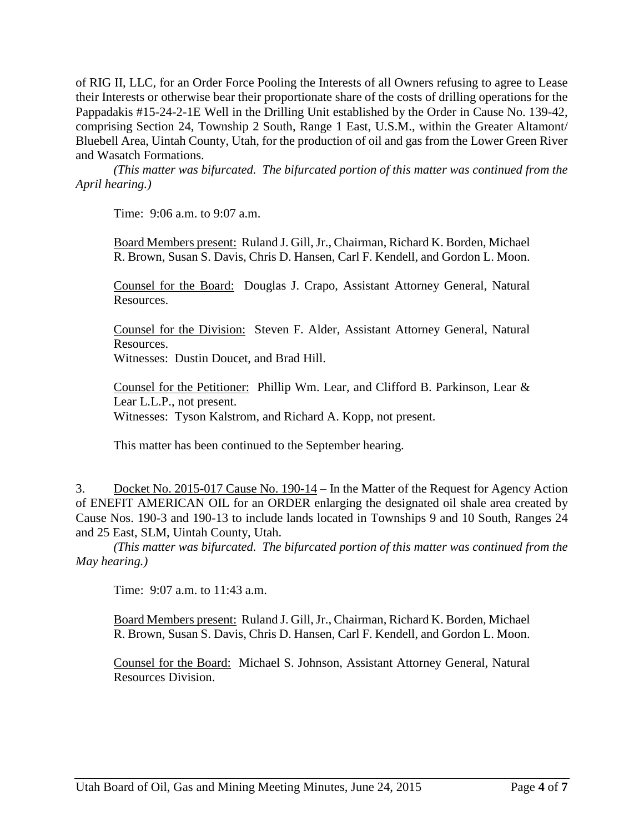of RIG II, LLC, for an Order Force Pooling the Interests of all Owners refusing to agree to Lease their Interests or otherwise bear their proportionate share of the costs of drilling operations for the Pappadakis #15-24-2-1E Well in the Drilling Unit established by the Order in Cause No. 139-42, comprising Section 24, Township 2 South, Range 1 East, U.S.M., within the Greater Altamont/ Bluebell Area, Uintah County, Utah, for the production of oil and gas from the Lower Green River and Wasatch Formations.

*(This matter was bifurcated. The bifurcated portion of this matter was continued from the April hearing.)*

Time: 9:06 a.m. to 9:07 a.m.

Board Members present: Ruland J. Gill, Jr., Chairman, Richard K. Borden, Michael R. Brown, Susan S. Davis, Chris D. Hansen, Carl F. Kendell, and Gordon L. Moon.

Counsel for the Board: Douglas J. Crapo, Assistant Attorney General, Natural Resources.

Counsel for the Division: Steven F. Alder, Assistant Attorney General, Natural Resources.

Witnesses: Dustin Doucet, and Brad Hill.

Counsel for the Petitioner: Phillip Wm. Lear, and Clifford B. Parkinson, Lear & Lear L.L.P., not present. Witnesses: Tyson Kalstrom, and Richard A. Kopp, not present.

This matter has been continued to the September hearing.

3. Docket No. 2015-017 Cause No. 190-14 – In the Matter of the Request for Agency Action of ENEFIT AMERICAN OIL for an ORDER enlarging the designated oil shale area created by Cause Nos. 190-3 and 190-13 to include lands located in Townships 9 and 10 South, Ranges 24 and 25 East, SLM, Uintah County, Utah.

*(This matter was bifurcated. The bifurcated portion of this matter was continued from the May hearing.)*

Time: 9:07 a.m. to 11:43 a.m.

Board Members present: Ruland J. Gill,Jr., Chairman, Richard K. Borden, Michael R. Brown, Susan S. Davis, Chris D. Hansen, Carl F. Kendell, and Gordon L. Moon.

Counsel for the Board: Michael S. Johnson, Assistant Attorney General, Natural Resources Division.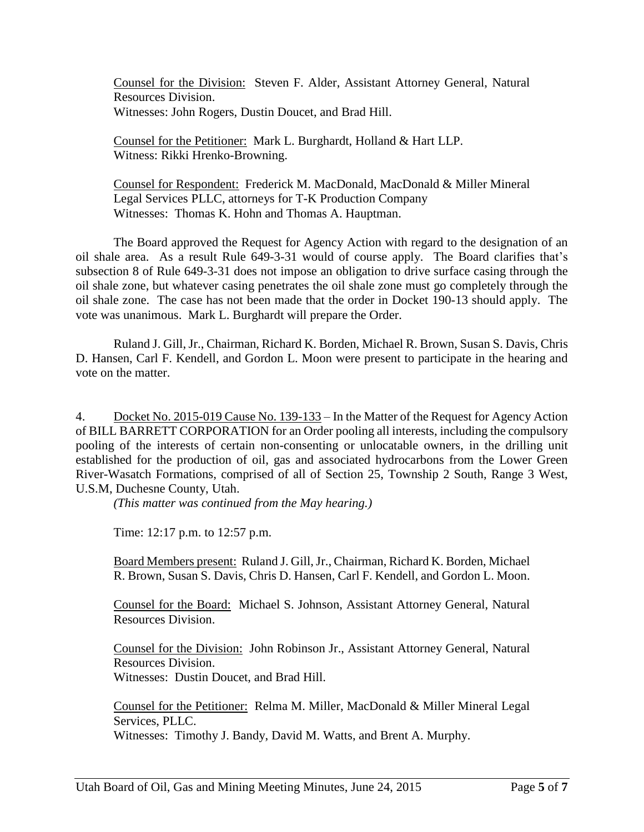Counsel for the Division: Steven F. Alder, Assistant Attorney General, Natural Resources Division. Witnesses: John Rogers, Dustin Doucet, and Brad Hill.

Counsel for the Petitioner: Mark L. Burghardt, Holland & Hart LLP. Witness: Rikki Hrenko-Browning.

Counsel for Respondent: Frederick M. MacDonald, MacDonald & Miller Mineral Legal Services PLLC, attorneys for T-K Production Company Witnesses: Thomas K. Hohn and Thomas A. Hauptman.

The Board approved the Request for Agency Action with regard to the designation of an oil shale area. As a result Rule 649-3-31 would of course apply. The Board clarifies that's subsection 8 of Rule 649-3-31 does not impose an obligation to drive surface casing through the oil shale zone, but whatever casing penetrates the oil shale zone must go completely through the oil shale zone. The case has not been made that the order in Docket 190-13 should apply. The vote was unanimous. Mark L. Burghardt will prepare the Order.

Ruland J. Gill,Jr., Chairman, Richard K. Borden, Michael R. Brown, Susan S. Davis, Chris D. Hansen, Carl F. Kendell, and Gordon L. Moon were present to participate in the hearing and vote on the matter.

4. Docket No. 2015-019 Cause No. 139-133 – In the Matter of the Request for Agency Action of BILL BARRETT CORPORATION for an Order pooling all interests, including the compulsory pooling of the interests of certain non-consenting or unlocatable owners, in the drilling unit established for the production of oil, gas and associated hydrocarbons from the Lower Green River-Wasatch Formations, comprised of all of Section 25, Township 2 South, Range 3 West, U.S.M, Duchesne County, Utah.

*(This matter was continued from the May hearing.)*

Time: 12:17 p.m. to 12:57 p.m.

Board Members present: Ruland J. Gill,Jr., Chairman, Richard K. Borden, Michael R. Brown, Susan S. Davis, Chris D. Hansen, Carl F. Kendell, and Gordon L. Moon.

Counsel for the Board: Michael S. Johnson, Assistant Attorney General, Natural Resources Division.

Counsel for the Division: John Robinson Jr., Assistant Attorney General, Natural Resources Division. Witnesses: Dustin Doucet, and Brad Hill.

Counsel for the Petitioner: Relma M. Miller, MacDonald & Miller Mineral Legal Services, PLLC.

Witnesses: Timothy J. Bandy, David M. Watts, and Brent A. Murphy.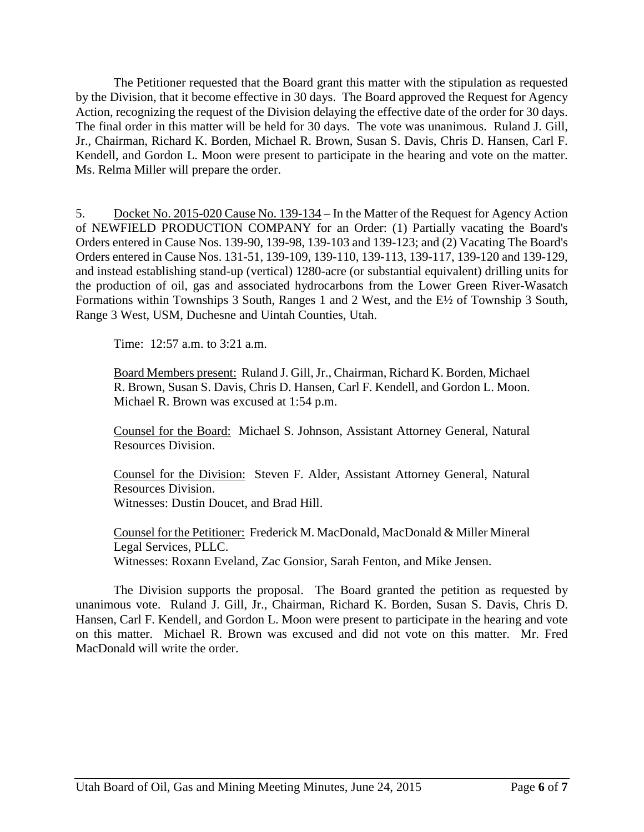The Petitioner requested that the Board grant this matter with the stipulation as requested by the Division, that it become effective in 30 days. The Board approved the Request for Agency Action, recognizing the request of the Division delaying the effective date of the order for 30 days. The final order in this matter will be held for 30 days. The vote was unanimous. Ruland J. Gill, Jr., Chairman, Richard K. Borden, Michael R. Brown, Susan S. Davis, Chris D. Hansen, Carl F. Kendell, and Gordon L. Moon were present to participate in the hearing and vote on the matter. Ms. Relma Miller will prepare the order.

5. Docket No. 2015-020 Cause No. 139-134 – In the Matter of the Request for Agency Action of NEWFIELD PRODUCTION COMPANY for an Order: (1) Partially vacating the Board's Orders entered in Cause Nos. 139-90, 139-98, 139-103 and 139-123; and (2) Vacating The Board's Orders entered in Cause Nos. 131-51, 139-109, 139-110, 139-113, 139-117, 139-120 and 139-129, and instead establishing stand-up (vertical) 1280-acre (or substantial equivalent) drilling units for the production of oil, gas and associated hydrocarbons from the Lower Green River-Wasatch Formations within Townships 3 South, Ranges 1 and 2 West, and the E½ of Township 3 South, Range 3 West, USM, Duchesne and Uintah Counties, Utah.

Time: 12:57 a.m. to 3:21 a.m.

Board Members present: Ruland J. Gill,Jr., Chairman, Richard K. Borden, Michael R. Brown, Susan S. Davis, Chris D. Hansen, Carl F. Kendell, and Gordon L. Moon. Michael R. Brown was excused at 1:54 p.m.

Counsel for the Board: Michael S. Johnson, Assistant Attorney General, Natural Resources Division.

Counsel for the Division: Steven F. Alder, Assistant Attorney General, Natural Resources Division. Witnesses: Dustin Doucet, and Brad Hill.

Counsel for the Petitioner: Frederick M. MacDonald, MacDonald & Miller Mineral Legal Services, PLLC. Witnesses: Roxann Eveland, Zac Gonsior, Sarah Fenton, and Mike Jensen.

The Division supports the proposal. The Board granted the petition as requested by unanimous vote. Ruland J. Gill, Jr., Chairman, Richard K. Borden, Susan S. Davis, Chris D. Hansen, Carl F. Kendell, and Gordon L. Moon were present to participate in the hearing and vote on this matter. Michael R. Brown was excused and did not vote on this matter. Mr. Fred MacDonald will write the order.